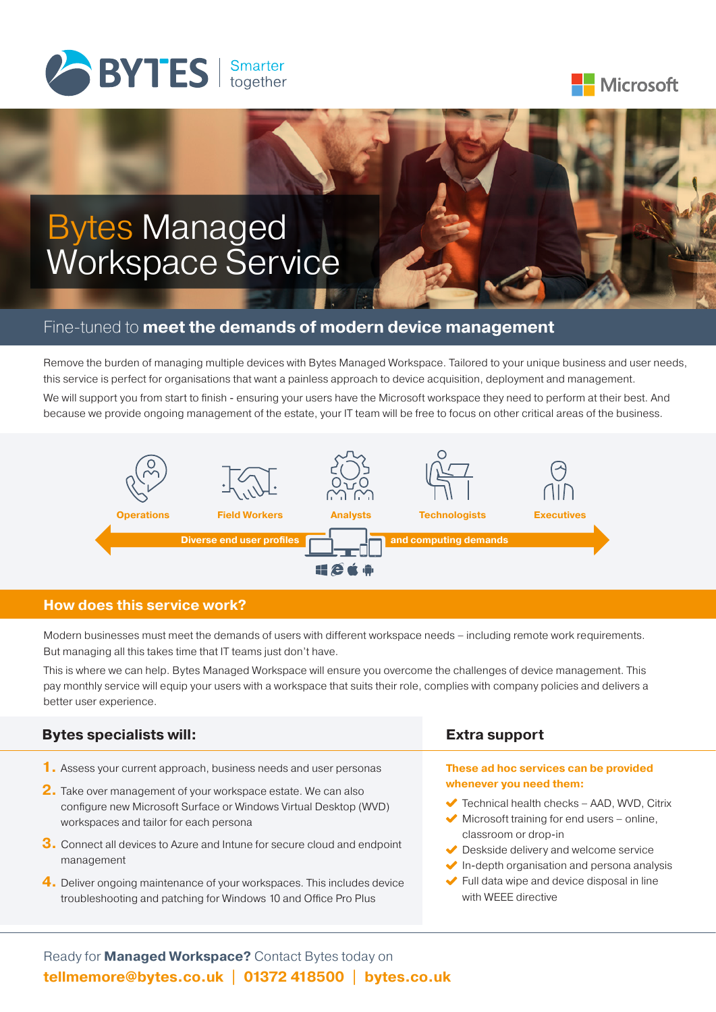



# Bytes Managed Workspace Service

## Fine-tuned to **meet the demands of modern device management**

Remove the burden of managing multiple devices with Bytes Managed Workspace. Tailored to your unique business and user needs, this service is perfect for organisations that want a painless approach to device acquisition, deployment and management. We will support you from start to finish - ensuring your users have the Microsoft workspace they need to perform at their best. And because we provide ongoing management of the estate, your IT team will be free to focus on other critical areas of the business.



## **How does this service work?**

Modern businesses must meet the demands of users with different workspace needs – including remote work requirements. But managing all this takes time that IT teams just don't have.

This is where we can help. Bytes Managed Workspace will ensure you overcome the challenges of device management. This pay monthly service will equip your users with a workspace that suits their role, complies with company policies and delivers a better user experience.

| <b>Bytes specialists will:</b>                                                                                                                                                                                                                                                                                                                                                                                                                                                           | <b>Extra support</b>                                                                                                                                                                                                                                                                                                                                                                                               |
|------------------------------------------------------------------------------------------------------------------------------------------------------------------------------------------------------------------------------------------------------------------------------------------------------------------------------------------------------------------------------------------------------------------------------------------------------------------------------------------|--------------------------------------------------------------------------------------------------------------------------------------------------------------------------------------------------------------------------------------------------------------------------------------------------------------------------------------------------------------------------------------------------------------------|
| 1. Assess your current approach, business needs and user personas<br>2. Take over management of your workspace estate. We can also<br>configure new Microsoft Surface or Windows Virtual Desktop (WVD)<br>workspaces and tailor for each persona<br>3. Connect all devices to Azure and Intune for secure cloud and endpoint<br>management<br>4. Deliver ongoing maintenance of your workspaces. This includes device<br>troubleshooting and patching for Windows 10 and Office Pro Plus | These ad hoc services can be provided<br>whenever you need them:<br>$\blacktriangleright$ Technical health checks – AAD, WVD, Citrix<br>$\blacktriangleright$ Microsoft training for end users – online,<br>classroom or drop-in<br>$\blacktriangleright$ Deskside delivery and welcome service<br>In-depth organisation and persona analysis<br>Full data wipe and device disposal in line<br>with WEEE directive |
|                                                                                                                                                                                                                                                                                                                                                                                                                                                                                          |                                                                                                                                                                                                                                                                                                                                                                                                                    |

Ready for **Managed Workspace?** Contact Bytes today on **tellmemore@bytes.co.uk | 01372 418500 | bytes.co.uk**